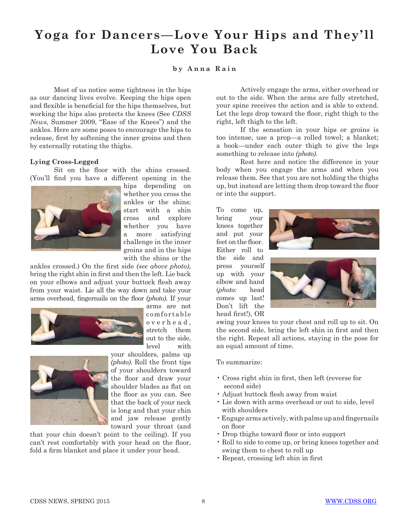## **Yoga for Dancers—Love Your Hips and They'll Love You Back**

## **b y A n n a R a i n**

Most of us notice some tightness in the hips as our dancing lives evolve. Keeping the hips open and flexible is beneficial for the hips themselves, but working the hips also protects the knees (See *CDSS News*, Summer 2009, "Ease of the Knees") and the ankles. Here are some poses to encourage the hips to release, first by softening the inner groins and then by externally rotating the thighs.

## **Lying Cross-Legged**

Sit on the floor with the shins crossed. (You'll find you have a different opening in the



hips depending on whether you cross the ankles or the shins; start with a shin cross and explore whether you have a more satisfying challenge in the inner groins and in the hips with the shins or the

ankles crossed.) On the first side *(see above photo)*, bring the right shin in first and then the left. Lie back on your elbows and adjust your buttock flesh away from your waist. Lie all the way down and take your arms overhead, fingernails on the floor *(photo)*. If your



arms are not comfortable o v e r h e a d , stretch them out to the side, level with



your shoulders, palms up *(photo)*. Roll the front tips of your shoulders toward the floor and draw your shoulder blades as flat on the floor as you can. See that the back of your neck is long and that your chin and jaw release gently toward your throat (and

that your chin doesn't point to the ceiling). If you can't rest comfortably with your head on the floor, fold a firm blanket and place it under your head.

Actively engage the arms, either overhead or out to the side. When the arms are fully stretched, your spine receives the action and is able to extend. Let the legs drop toward the floor, right thigh to the right, left thigh to the left.

If the sensation in your hips or groins is too intense, use a prop—a rolled towel; a blanket; a book—under each outer thigh to give the legs something to release into *(photo)*.

Rest here and notice the difference in your body when you engage the arms and when you release them. See that you are not holding the thighs up, but instead are letting them drop toward the floor or into the support.

To come up, bring your knees together and put your feet on the floor. Either roll to the side and press yourself up with your elbow and hand (*photo:* head comes up last! Don't lift the head first!), OR





swing your knees to your chest and roll up to sit. On the second side, bring the left shin in first and then the right. Repeat all actions, staying in the pose for an equal amount of time.

To summarize:

- Cross right shin in first, then left (reverse for second side)
- Adjust buttock flesh away from waist
- Lie down with arms overhead or out to side, level with shoulders
- Engage arms actively, with palms up and fingernails on floor
- Drop thighs toward floor or into support
- Roll to side to come up, or bring knees together and swing them to chest to roll up
- Repeat, crossing left shin in first